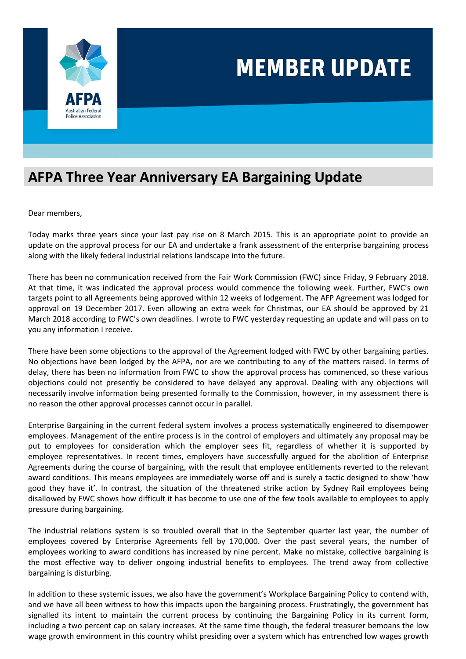

## **AFPA Three Year Anniversary EA Bargaining Update**

Dear members,

Today marks three years since your last pay rise on 8 March 2015. This is an appropriate point to provide an update on the approval process for our EA and undertake a frank assessment of the enterprise bargaining process along with the likely federal industrial relations landscape into the future.

There has been no communication received from the Fair Work Commission (FWC) since Friday, 9 February 2018. At that time, it was indicated the approval process would commence the following week. Further, FWC's own targets point to all Agreements being approved within 12 weeks of lodgement. The AFP Agreement was lodged for approval on 19 December 2017. Even allowing an extra week for Christmas, our EA should be approved by 21 March 2018 according to FWC's own deadlines. I wrote to FWC yesterday requesting an update and will pass on to you any information I receive.

There have been some objections to the approval of the Agreement lodged with FWC by other bargaining parties. No objections have been lodged by the AFPA, nor are we contributing to any of the matters raised. In terms of delay, there has been no information from FWC to show the approval process has commenced, so these various objections could not presently be considered to have delayed any approval. Dealing with any objections will necessarily involve information being presented formally to the Commission, however, in my assessment there is no reason the other approval processes cannot occur in parallel.

Enterprise Bargaining in the current federal system involves a process systematically engineered to disempower employees. Management of the entire process is in the control of employers and ultimately any proposal may be put to employees for consideration which the employer sees fit, regardless of whether it is supported by employee representatives. In recent times, employers have successfully argued for the abolition of Enterprise Agreements during the course of bargaining, with the result that employee entitlements reverted to the relevant award conditions. This means employees are immediately worse off and is surely a tactic designed to show 'how good they have it'. In contrast, the situation of the threatened strike action by Sydney Rail employees being disallowed by FWC shows how difficult it has become to use one of the few tools available to employees to apply pressure during bargaining.

The industrial relations system is so troubled overall that in the September quarter last year, the number of employees covered by Enterprise Agreements fell by 170,000. Over the past several years, the number of employees working to award conditions has increased by nine percent. Make no mistake, collective bargaining is the most effective way to deliver ongoing industrial benefits to employees. The trend away from collective bargaining is disturbing.

In addition to these systemic issues, we also have the government's Workplace Bargaining Policy to contend with, and we have all been witness to how this impacts upon the bargaining process. Frustratingly, the government has signalled its intent to maintain the current process by continuing the Bargaining Policy in its current form, including a two percent cap on salary increases. At the same time though, the federal treasurer bemoans the low wage growth environment in this country whilst presiding over a system which has entrenched low wages growth